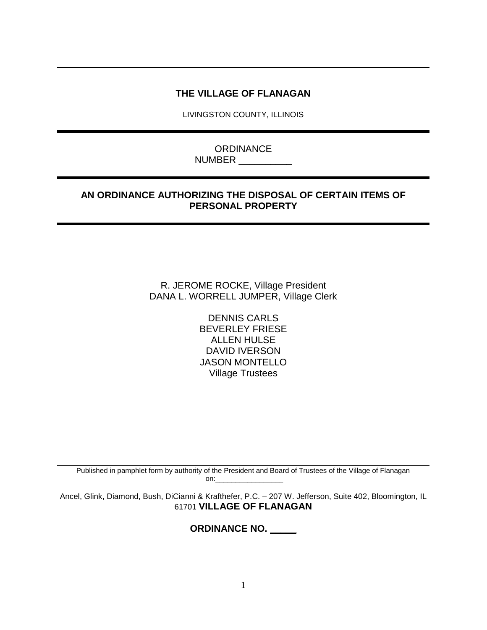# **THE VILLAGE OF FLANAGAN**

LIVINGSTON COUNTY, ILLINOIS

**ORDINANCE** NUMBER \_\_\_\_\_\_\_\_\_\_

# **AN ORDINANCE AUTHORIZING THE DISPOSAL OF CERTAIN ITEMS OF PERSONAL PROPERTY**

R. JEROME ROCKE, Village President DANA L. WORRELL JUMPER, Village Clerk

> DENNIS CARLS BEVERLEY FRIESE ALLEN HULSE DAVID IVERSON JASON MONTELLO Village Trustees

Published in pamphlet form by authority of the President and Board of Trustees of the Village of Flanagan on:

Ancel, Glink, Diamond, Bush, DiCianni & Krafthefer, P.C. – 207 W. Jefferson, Suite 402, Bloomington, IL 61701 **VILLAGE OF FLANAGAN**

**ORDINANCE NO. \_\_\_\_\_**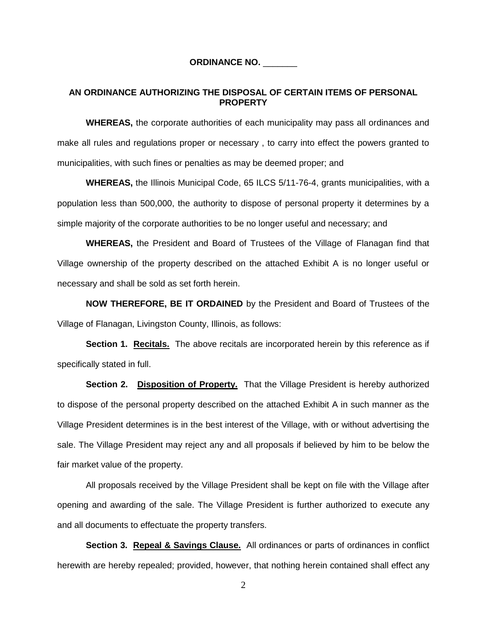#### **ORDINANCE NO.** \_\_\_\_\_\_\_

### **AN ORDINANCE AUTHORIZING THE DISPOSAL OF CERTAIN ITEMS OF PERSONAL PROPERTY**

**WHEREAS,** the corporate authorities of each municipality may pass all ordinances and make all rules and regulations proper or necessary , to carry into effect the powers granted to municipalities, with such fines or penalties as may be deemed proper; and

**WHEREAS,** the Illinois Municipal Code, 65 ILCS 5/11-76-4, grants municipalities, with a population less than 500,000, the authority to dispose of personal property it determines by a simple majority of the corporate authorities to be no longer useful and necessary; and

**WHEREAS,** the President and Board of Trustees of the Village of Flanagan find that Village ownership of the property described on the attached Exhibit A is no longer useful or necessary and shall be sold as set forth herein.

**NOW THEREFORE, BE IT ORDAINED** by the President and Board of Trustees of the Village of Flanagan, Livingston County, Illinois, as follows:

**Section 1. Recitals.** The above recitals are incorporated herein by this reference as if specifically stated in full.

**Section 2. Disposition of Property.** That the Village President is hereby authorized to dispose of the personal property described on the attached Exhibit A in such manner as the Village President determines is in the best interest of the Village, with or without advertising the sale. The Village President may reject any and all proposals if believed by him to be below the fair market value of the property.

All proposals received by the Village President shall be kept on file with the Village after opening and awarding of the sale. The Village President is further authorized to execute any and all documents to effectuate the property transfers.

Section 3. Repeal & Savings Clause. All ordinances or parts of ordinances in conflict herewith are hereby repealed; provided, however, that nothing herein contained shall effect any

2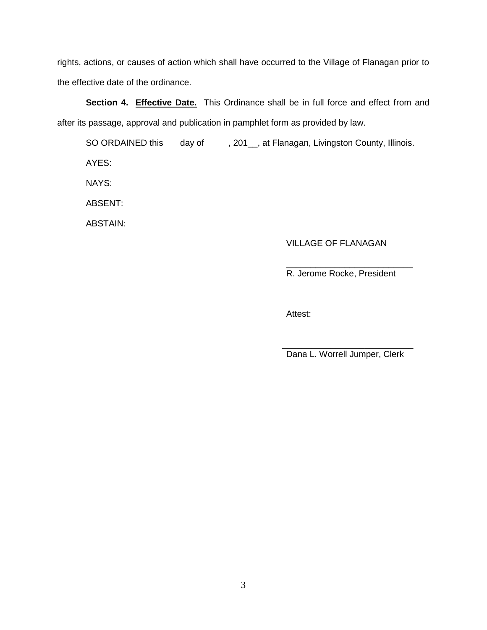rights, actions, or causes of action which shall have occurred to the Village of Flanagan prior to the effective date of the ordinance.

Section 4. **Effective Date.** This Ordinance shall be in full force and effect from and after its passage, approval and publication in pamphlet form as provided by law.

SO ORDAINED this day of, 301\_, at Flanagan, Livingston County, Illinois. AYES: NAYS:

ABSENT:

ABSTAIN:

### VILLAGE OF FLANAGAN

R. Jerome Rocke, President

\_\_\_\_\_\_\_\_\_\_\_\_\_\_\_\_\_\_\_\_\_\_\_\_\_\_

Attest:

Dana L. Worrell Jumper, Clerk

 $\frac{1}{2}$  ,  $\frac{1}{2}$  ,  $\frac{1}{2}$  ,  $\frac{1}{2}$  ,  $\frac{1}{2}$  ,  $\frac{1}{2}$  ,  $\frac{1}{2}$  ,  $\frac{1}{2}$  ,  $\frac{1}{2}$  ,  $\frac{1}{2}$  ,  $\frac{1}{2}$  ,  $\frac{1}{2}$  ,  $\frac{1}{2}$  ,  $\frac{1}{2}$  ,  $\frac{1}{2}$  ,  $\frac{1}{2}$  ,  $\frac{1}{2}$  ,  $\frac{1}{2}$  ,  $\frac{1$